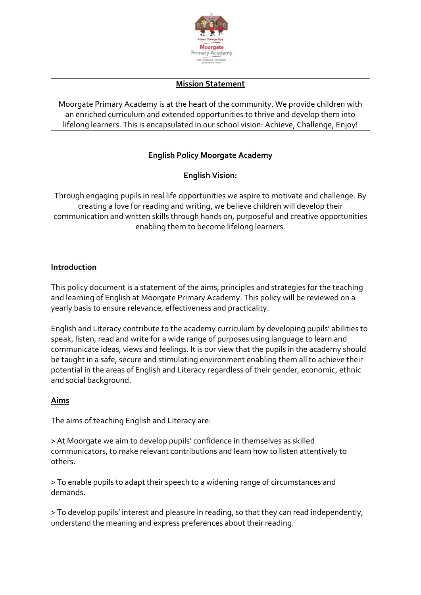

#### **Mission Statement**

Moorgate Primary Academy is at the heart of the community. We provide children with an enriched curriculum and extended opportunities to thrive and develop them into lifelong learners. This is encapsulated in our school vision: Achieve, Challenge, Enjoy!

# **English Policy Moorgate Academy**

# **English Vision:**

Through engaging pupils in real life opportunities we aspire to motivate and challenge. By creating a love for reading and writing, we believe children will develop their communication and written skills through hands on, purposeful and creative opportunities enabling them to become lifelong learners.

#### **Introduction**

This policy document is a statement of the aims, principles and strategies for the teaching and learning of English at Moorgate Primary Academy. This policy will be reviewed on a yearly basis to ensure relevance, effectiveness and practicality.

English and Literacy contribute to the academy curriculum by developing pupils' abilities to speak, listen, read and write for a wide range of purposes using language to learn and communicate ideas, views and feelings. It is our view that the pupils in the academy should be taught in a safe, secure and stimulating environment enabling them all to achieve their potential in the areas of English and Literacy regardless of their gender, economic, ethnic and social background.

## **Aims**

The aims of teaching English and Literacy are:

> At Moorgate we aim to develop pupils' confidence in themselves as skilled communicators, to make relevant contributions and learn how to listen attentively to others.

> To enable pupils to adapt their speech to a widening range of circumstances and demands.

> To develop pupils' interest and pleasure in reading, so that they can read independently, understand the meaning and express preferences about their reading.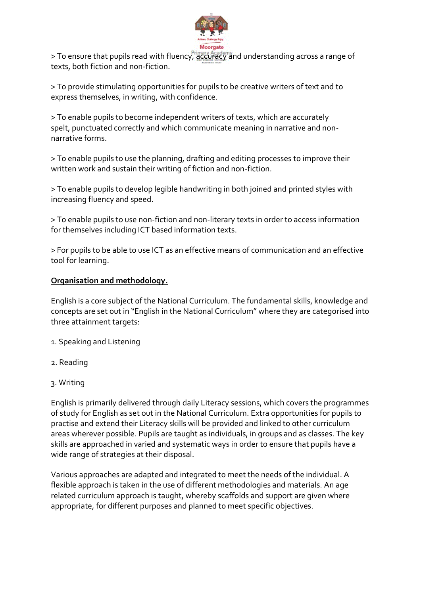

> To ensure that pupils read with fluency, accuracy and understanding across a range of texts, both fiction and non-fiction.

> To provide stimulating opportunities for pupils to be creative writers of text and to express themselves, in writing, with confidence.

> To enable pupils to become independent writers of texts, which are accurately spelt, punctuated correctly and which communicate meaning in narrative and nonnarrative forms.

> To enable pupils to use the planning, drafting and editing processes to improve their written work and sustain their writing of fiction and non-fiction.

> To enable pupils to develop legible handwriting in both joined and printed styles with increasing fluency and speed.

> To enable pupils to use non-fiction and non-literary texts in order to access information for themselves including ICT based information texts.

> For pupils to be able to use ICT as an effective means of communication and an effective tool for learning.

## **Organisation and methodology.**

English is a core subject of the National Curriculum. The fundamental skills, knowledge and concepts are set out in "English in the National Curriculum" where they are categorised into three attainment targets:

- 1. Speaking and Listening
- 2. Reading
- 3. Writing

English is primarily delivered through daily Literacy sessions, which covers the programmes of study for English as set out in the National Curriculum. Extra opportunities for pupils to practise and extend their Literacy skills will be provided and linked to other curriculum areas wherever possible. Pupils are taught as individuals, in groups and as classes. The key skills are approached in varied and systematic ways in order to ensure that pupils have a wide range of strategies at their disposal.

Various approaches are adapted and integrated to meet the needs of the individual. A flexible approach is taken in the use of different methodologies and materials. An age related curriculum approach is taught, whereby scaffolds and support are given where appropriate, for different purposes and planned to meet specific objectives.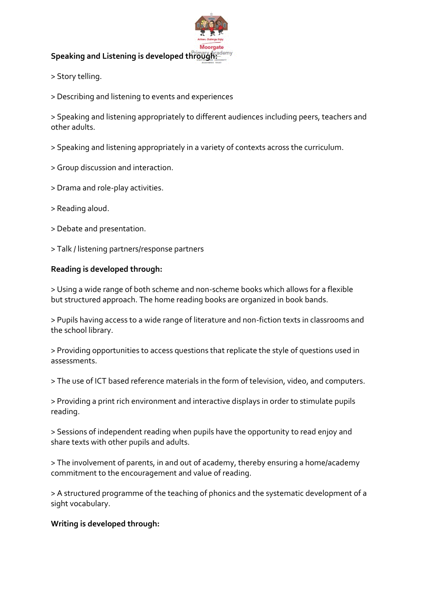# **Speaking and Listening is developed through:**

- > Story telling.
- > Describing and listening to events and experiences

> Speaking and listening appropriately to different audiences including peers, teachers and other adults.

- > Speaking and listening appropriately in a variety of contexts across the curriculum.
- > Group discussion and interaction.
- > Drama and role-play activities.
- > Reading aloud.
- > Debate and presentation.
- > Talk / listening partners/response partners

#### **Reading is developed through:**

> Using a wide range of both scheme and non-scheme books which allows for a flexible but structured approach. The home reading books are organized in book bands.

> Pupils having access to a wide range of literature and non-fiction texts in classrooms and the school library.

> Providing opportunities to access questions that replicate the style of questions used in assessments.

> The use of ICT based reference materials in the form of television, video, and computers.

> Providing a print rich environment and interactive displays in order to stimulate pupils reading.

> Sessions of independent reading when pupils have the opportunity to read enjoy and share texts with other pupils and adults.

> The involvement of parents, in and out of academy, thereby ensuring a home/academy commitment to the encouragement and value of reading.

> A structured programme of the teaching of phonics and the systematic development of a sight vocabulary.

#### **Writing is developed through:**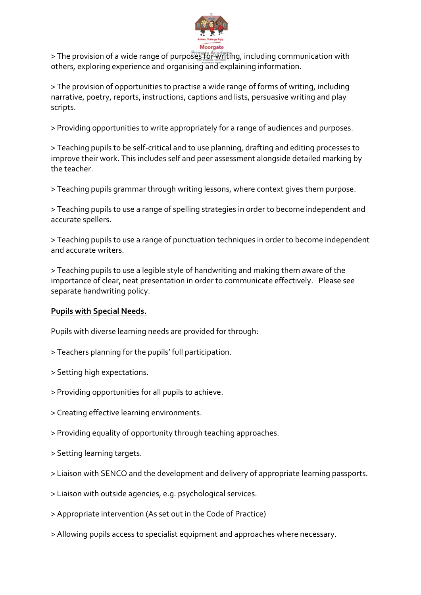

> The provision of a wide range of purposes for writing, including communication with others, exploring experience and organising and explaining information.

> The provision of opportunities to practise a wide range of forms of writing, including narrative, poetry, reports, instructions, captions and lists, persuasive writing and play scripts.

> Providing opportunities to write appropriately for a range of audiences and purposes.

> Teaching pupils to be self-critical and to use planning, drafting and editing processes to improve their work. This includes self and peer assessment alongside detailed marking by the teacher.

> Teaching pupils grammar through writing lessons, where context gives them purpose.

> Teaching pupils to use a range of spelling strategies in order to become independent and accurate spellers.

> Teaching pupils to use a range of punctuation techniques in order to become independent and accurate writers.

> Teaching pupils to use a legible style of handwriting and making them aware of the importance of clear, neat presentation in order to communicate effectively. Please see separate handwriting policy.

#### **Pupils with Special Needs.**

Pupils with diverse learning needs are provided for through:

- > Teachers planning for the pupils' full participation.
- > Setting high expectations.
- > Providing opportunities for all pupils to achieve.
- > Creating effective learning environments.
- > Providing equality of opportunity through teaching approaches.
- > Setting learning targets.
- > Liaison with SENCO and the development and delivery of appropriate learning passports.
- > Liaison with outside agencies, e.g. psychological services.
- > Appropriate intervention (As set out in the Code of Practice)
- > Allowing pupils access to specialist equipment and approaches where necessary.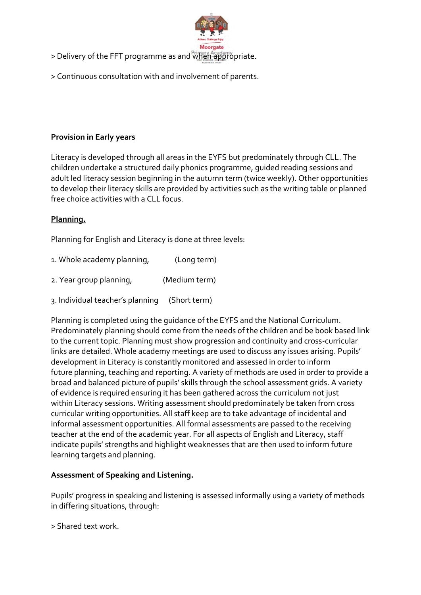

- > Delivery of the FFT programme as and when appropriate.
- > Continuous consultation with and involvement of parents.

#### **Provision in Early years**

Literacy is developed through all areas in the EYFS but predominately through CLL. The children undertake a structured daily phonics programme, guided reading sessions and adult led literacy session beginning in the autumn term (twice weekly). Other opportunities to develop their literacy skills are provided by activities such as the writing table or planned free choice activities with a CLL focus.

#### **Planning.**

Planning for English and Literacy is done at three levels:

| 1. Whole academy planning,       | (Long term)   |
|----------------------------------|---------------|
| 2. Year group planning,          | (Medium term) |
| 3. Individual teacher's planning | (Short term)  |

Planning is completed using the guidance of the EYFS and the National Curriculum. Predominately planning should come from the needs of the children and be book based link to the current topic. Planning must show progression and continuity and cross-curricular links are detailed. Whole academy meetings are used to discuss any issues arising. Pupils' development in Literacy is constantly monitored and assessed in order to inform future planning, teaching and reporting. A variety of methods are used in order to provide a broad and balanced picture of pupils' skills through the school assessment grids. A variety of evidence is required ensuring it has been gathered across the curriculum not just within Literacy sessions. Writing assessment should predominately be taken from cross curricular writing opportunities. All staff keep are to take advantage of incidental and informal assessment opportunities. All formal assessments are passed to the receiving teacher at the end of the academic year. For all aspects of English and Literacy, staff indicate pupils' strengths and highlight weaknesses that are then used to inform future learning targets and planning.

#### **Assessment of Speaking and Listening.**

Pupils' progress in speaking and listening is assessed informally using a variety of methods in differing situations, through:

> Shared text work.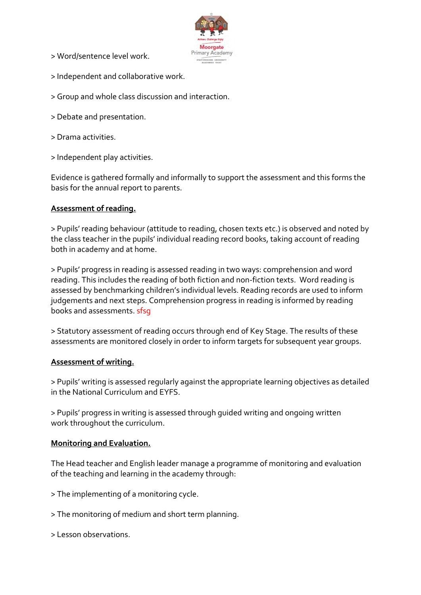> Word/sentence level work.



- > Independent and collaborative work.
- > Group and whole class discussion and interaction.
- > Debate and presentation.
- > Drama activities.
- > Independent play activities.

Evidence is gathered formally and informally to support the assessment and this forms the basis for the annual report to parents.

#### **Assessment of reading.**

> Pupils' reading behaviour (attitude to reading, chosen texts etc.) is observed and noted by the class teacher in the pupils' individual reading record books, taking account of reading both in academy and at home.

> Pupils' progress in reading is assessed reading in two ways: comprehension and word reading. This includes the reading of both fiction and non-fiction texts. Word reading is assessed by benchmarking children's individual levels. Reading records are used to inform judgements and next steps. Comprehension progress in reading is informed by reading books and assessments. sfsg

> Statutory assessment of reading occurs through end of Key Stage. The results of these assessments are monitored closely in order to inform targets for subsequent year groups.

#### **Assessment of writing.**

> Pupils' writing is assessed regularly against the appropriate learning objectives as detailed in the National Curriculum and EYFS.

> Pupils' progress in writing is assessed through guided writing and ongoing written work throughout the curriculum.

#### **Monitoring and Evaluation.**

The Head teacher and English leader manage a programme of monitoring and evaluation of the teaching and learning in the academy through:

> The implementing of a monitoring cycle.

- > The monitoring of medium and short term planning.
- > Lesson observations.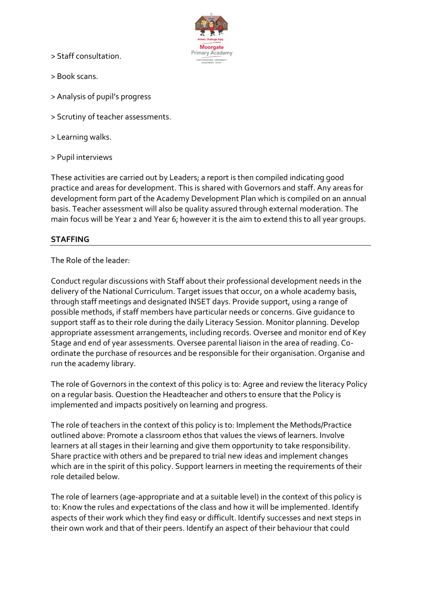> Staff consultation.



- > Book scans.
- > Analysis of pupil's progress
- > Scrutiny of teacher assessments.
- > Learning walks.
- > Pupil interviews

These activities are carried out by Leaders; a report is then compiled indicating good practice and areas for development. This is shared with Governors and staff. Any areas for development form part of the Academy Development Plan which is compiled on an annual basis. Teacher assessment will also be quality assured through external moderation. The main focus will be Year 2 and Year 6; however it is the aim to extend this to all year groups.

#### **STAFFING**

The Role of the leader:

Conduct regular discussions with Staff about their professional development needs in the delivery of the National Curriculum. Target issues that occur, on a whole academy basis, through staff meetings and designated INSET days. Provide support, using a range of possible methods, if staff members have particular needs or concerns. Give guidance to support staff as to their role during the daily Literacy Session. Monitor planning. Develop appropriate assessment arrangements, including records. Oversee and monitor end of Key Stage and end of year assessments. Oversee parental liaison in the area of reading. Coordinate the purchase of resources and be responsible for their organisation. Organise and run the academy library.

The role of Governors in the context of this policy is to: Agree and review the literacy Policy on a regular basis. Question the Headteacher and others to ensure that the Policy is implemented and impacts positively on learning and progress.

The role of teachers in the context of this policy is to: Implement the Methods/Practice outlined above: Promote a classroom ethos that values the views of learners. Involve learners at all stages in their learning and give them opportunity to take responsibility. Share practice with others and be prepared to trial new ideas and implement changes which are in the spirit of this policy. Support learners in meeting the requirements of their role detailed below.

The role of learners (age-appropriate and at a suitable level) in the context of this policy is to: Know the rules and expectations of the class and how it will be implemented. Identify aspects of their work which they find easy or difficult. Identify successes and next steps in their own work and that of their peers. Identify an aspect of their behaviour that could